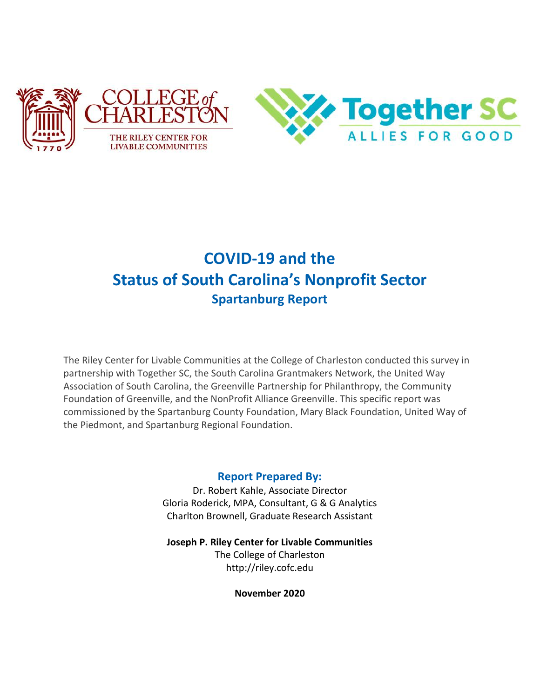

# **COVID-19 and the Status of South Carolina's Nonprofit Sector Spartanburg Report**

The Riley Center for Livable Communities at the College of Charleston conducted this survey in partnership with Together SC, the South Carolina Grantmakers Network, the United Way Association of South Carolina, the Greenville Partnership for Philanthropy, the Community Foundation of Greenville, and the NonProfit Alliance Greenville. This specific report was commissioned by the Spartanburg County Foundation, Mary Black Foundation, United Way of the Piedmont, and Spartanburg Regional Foundation.

#### **Report Prepared By:**

Dr. Robert Kahle, Associate Director Gloria Roderick, MPA, Consultant, G & G Analytics Charlton Brownell, Graduate Research Assistant

**Joseph P. Riley Center for Livable Communities** The College of Charleston http://riley.cofc.edu

**November 2020**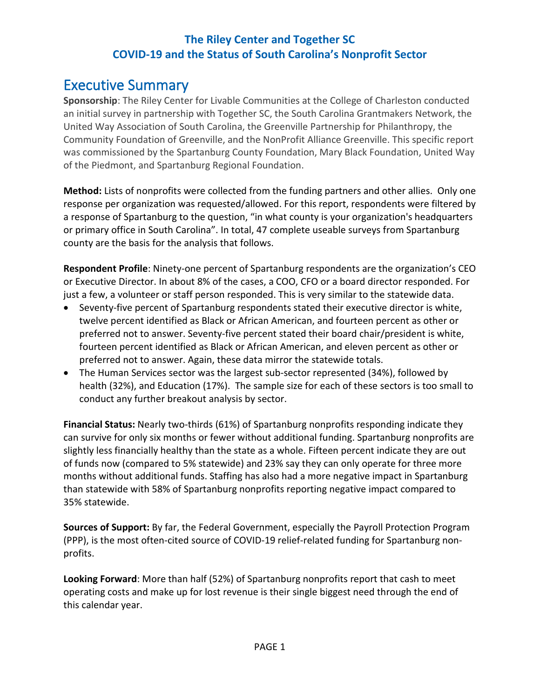## <span id="page-1-0"></span>Executive Summary

**Sponsorship**: The Riley Center for Livable Communities at the College of Charleston conducted an initial survey in partnership with Together SC, the South Carolina Grantmakers Network, the United Way Association of South Carolina, the Greenville Partnership for Philanthropy, the Community Foundation of Greenville, and the NonProfit Alliance Greenville. This specific report was commissioned by the Spartanburg County Foundation, Mary Black Foundation, United Way of the Piedmont, and Spartanburg Regional Foundation.

**Method:** Lists of nonprofits were collected from the funding partners and other allies. Only one response per organization was requested/allowed. For this report, respondents were filtered by a response of Spartanburg to the question, "in what county is your organization's headquarters or primary office in South Carolina". In total, 47 complete useable surveys from Spartanburg county are the basis for the analysis that follows.

**Respondent Profile**: Ninety-one percent of Spartanburg respondents are the organization's CEO or Executive Director. In about 8% of the cases, a COO, CFO or a board director responded. For just a few, a volunteer or staff person responded. This is very similar to the statewide data.

- Seventy-five percent of Spartanburg respondents stated their executive director is white, twelve percent identified as Black or African American, and fourteen percent as other or preferred not to answer. Seventy-five percent stated their board chair/president is white, fourteen percent identified as Black or African American, and eleven percent as other or preferred not to answer. Again, these data mirror the statewide totals.
- The Human Services sector was the largest sub-sector represented (34%), followed by health (32%), and Education (17%). The sample size for each of these sectors is too small to conduct any further breakout analysis by sector.

**Financial Status:** Nearly two-thirds (61%) of Spartanburg nonprofits responding indicate they can survive for only six months or fewer without additional funding. Spartanburg nonprofits are slightly less financially healthy than the state as a whole. Fifteen percent indicate they are out of funds now (compared to 5% statewide) and 23% say they can only operate for three more months without additional funds. Staffing has also had a more negative impact in Spartanburg than statewide with 58% of Spartanburg nonprofits reporting negative impact compared to 35% statewide.

**Sources of Support:** By far, the Federal Government, especially the Payroll Protection Program (PPP), is the most often-cited source of COVID-19 relief-related funding for Spartanburg nonprofits.

**Looking Forward**: More than half (52%) of Spartanburg nonprofits report that cash to meet operating costs and make up for lost revenue is their single biggest need through the end of this calendar year.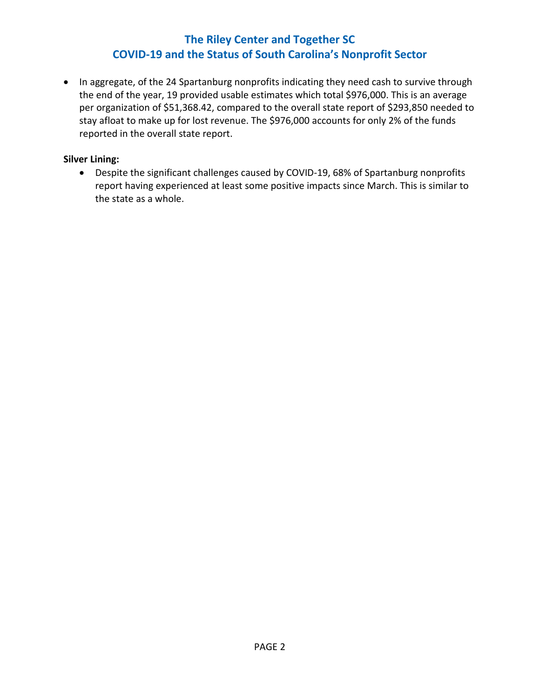• In aggregate, of the 24 Spartanburg nonprofits indicating they need cash to survive through the end of the year, 19 provided usable estimates which total \$976,000. This is an average per organization of \$51,368.42, compared to the overall state report of \$293,850 needed to stay afloat to make up for lost revenue. The \$976,000 accounts for only 2% of the funds reported in the overall state report.

#### **Silver Lining:**

• Despite the significant challenges caused by COVID-19, 68% of Spartanburg nonprofits report having experienced at least some positive impacts since March. This is similar to the state as a whole.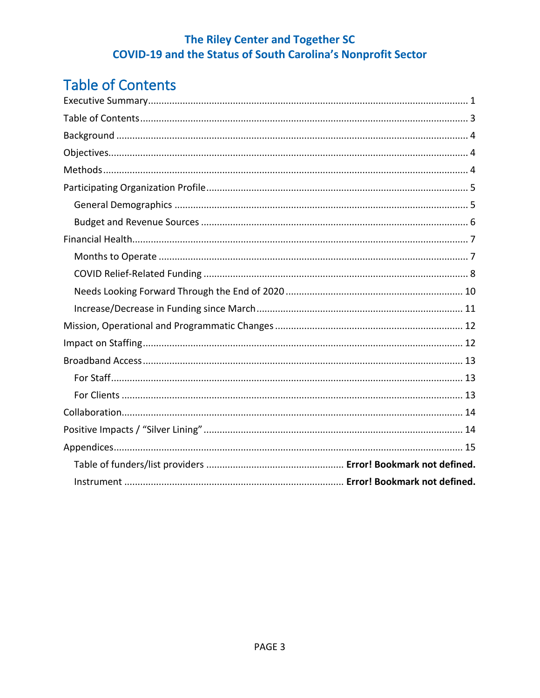# <span id="page-3-0"></span>**Table of Contents**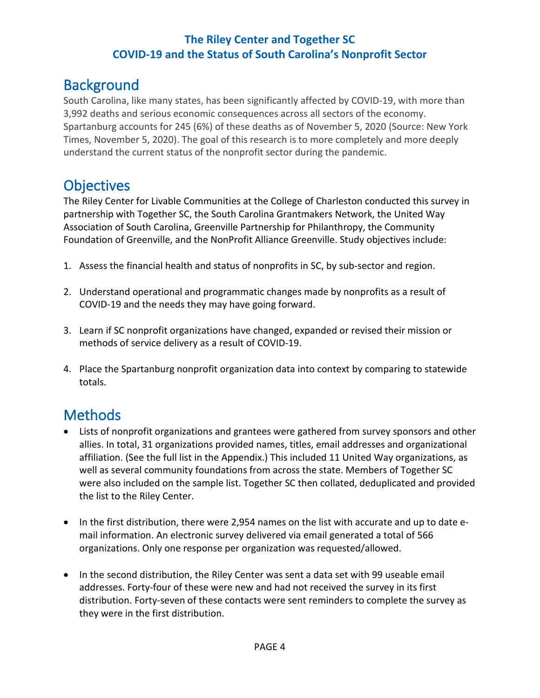## <span id="page-4-0"></span>**Background**

South Carolina, like many states, has been significantly affected by COVID-19, with more than 3,992 deaths and serious economic consequences across all sectors of the economy. Spartanburg accounts for 245 (6%) of these deaths as of November 5, 2020 (Source: New York Times, November 5, 2020). The goal of this research is to more completely and more deeply understand the current status of the nonprofit sector during the pandemic.

## <span id="page-4-1"></span>**Objectives**

The Riley Center for Livable Communities at the College of Charleston conducted this survey in partnership with Together SC, the South Carolina Grantmakers Network, the United Way Association of South Carolina, Greenville Partnership for Philanthropy, the Community Foundation of Greenville, and the NonProfit Alliance Greenville. Study objectives include:

- 1. Assess the financial health and status of nonprofits in SC, by sub-sector and region.
- 2. Understand operational and programmatic changes made by nonprofits as a result of COVID-19 and the needs they may have going forward.
- 3. Learn if SC nonprofit organizations have changed, expanded or revised their mission or methods of service delivery as a result of COVID-19.
- 4. Place the Spartanburg nonprofit organization data into context by comparing to statewide totals.

# <span id="page-4-2"></span>**Methods**

- Lists of nonprofit organizations and grantees were gathered from survey sponsors and other allies. In total, 31 organizations provided names, titles, email addresses and organizational affiliation. (See the full list in the Appendix.) This included 11 United Way organizations, as well as several community foundations from across the state. Members of Together SC were also included on the sample list. Together SC then collated, deduplicated and provided the list to the Riley Center.
- In the first distribution, there were 2,954 names on the list with accurate and up to date email information. An electronic survey delivered via email generated a total of 566 organizations. Only one response per organization was requested/allowed.
- In the second distribution, the Riley Center was sent a data set with 99 useable email addresses. Forty-four of these were new and had not received the survey in its first distribution. Forty-seven of these contacts were sent reminders to complete the survey as they were in the first distribution.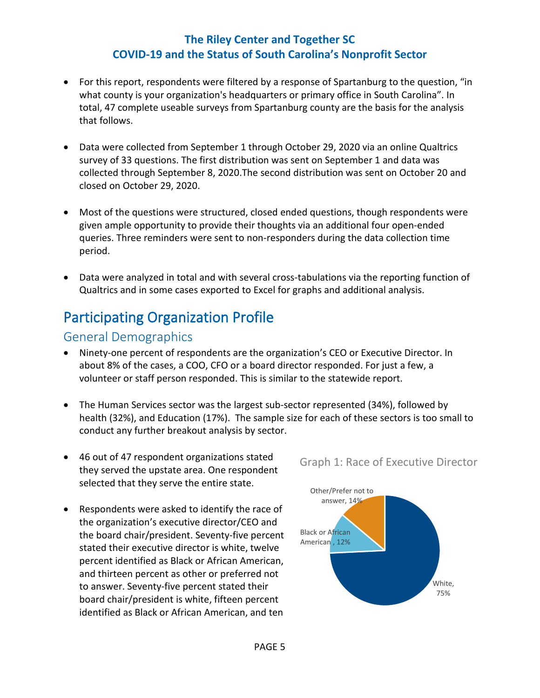- For this report, respondents were filtered by a response of Spartanburg to the question, "in what county is your organization's headquarters or primary office in South Carolina". In total, 47 complete useable surveys from Spartanburg county are the basis for the analysis that follows.
- Data were collected from September 1 through October 29, 2020 via an online Qualtrics survey of 33 questions. The first distribution was sent on September 1 and data was collected through September 8, 2020.The second distribution was sent on October 20 and closed on October 29, 2020.
- Most of the questions were structured, closed ended questions, though respondents were given ample opportunity to provide their thoughts via an additional four open-ended queries. Three reminders were sent to non-responders during the data collection time period.
- Data were analyzed in total and with several cross-tabulations via the reporting function of Qualtrics and in some cases exported to Excel for graphs and additional analysis.

## <span id="page-5-0"></span>Participating Organization Profile

### <span id="page-5-1"></span>General Demographics

- Ninety-one percent of respondents are the organization's CEO or Executive Director. In about 8% of the cases, a COO, CFO or a board director responded. For just a few, a volunteer or staff person responded. This is similar to the statewide report.
- The Human Services sector was the largest sub-sector represented (34%), followed by health (32%), and Education (17%). The sample size for each of these sectors is too small to conduct any further breakout analysis by sector.
- 46 out of 47 respondent organizations stated they served the upstate area. One respondent selected that they serve the entire state.
- Respondents were asked to identify the race of the organization's executive director/CEO and the board chair/president. Seventy-five percent stated their executive director is white, twelve percent identified as Black or African American, and thirteen percent as other or preferred not to answer. Seventy-five percent stated their board chair/president is white, fifteen percent identified as Black or African American, and ten

Graph 1: Race of Executive Director

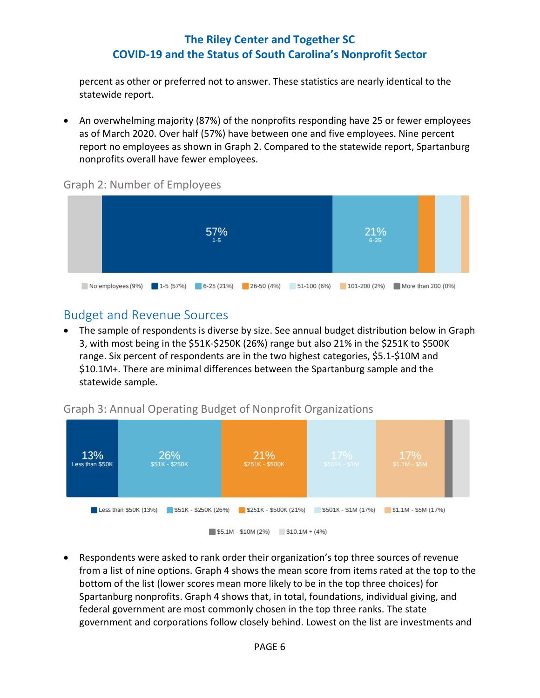percent as other or preferred not to answer. These statistics are nearly identical to the statewide report.

• An overwhelming majority (87%) of the nonprofits responding have 25 or fewer employees as of March 2020. Over half (57%) have between one and five employees. Nine percent report no employees as shown in Graph 2. Compared to the statewide report, Spartanburg nonprofits overall have fewer employees.

#### Graph 2: Number of Employees



### <span id="page-6-0"></span>Budget and Revenue Sources

• The sample of respondents is diverse by size. See annual budget distribution below in Graph 3, with most being in the \$51K-\$250K (26%) range but also 21% in the \$251K to \$500K range. Six percent of respondents are in the two highest categories, \$5.1-\$10M and \$10.1M+. There are minimal differences between the Spartanburg sample and the statewide sample.

### Graph 3: Annual Operating Budget of Nonprofit Organizations



• Respondents were asked to rank order their organization's top three sources of revenue from a list of nine options. Graph 4 shows the mean score from items rated at the top to the bottom of the list (lower scores mean more likely to be in the top three choices) for Spartanburg nonprofits. Graph 4 shows that, in total, foundations, individual giving, and federal government are most commonly chosen in the top three ranks. The state government and corporations follow closely behind. Lowest on the list are investments and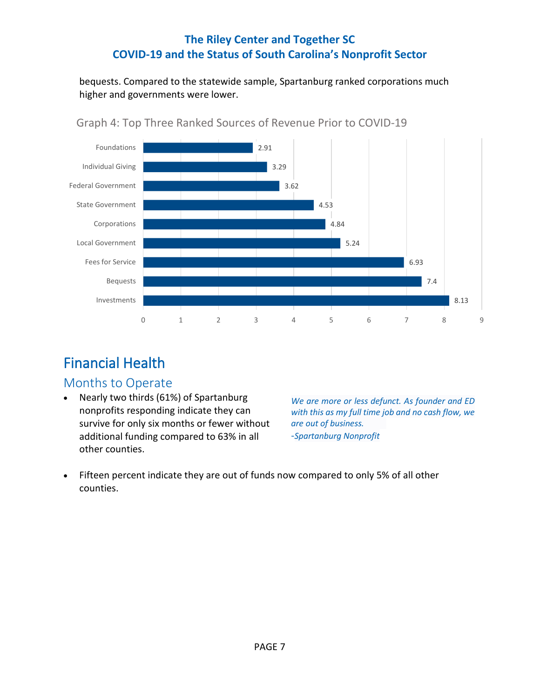bequests. Compared to the statewide sample, Spartanburg ranked corporations much higher and governments were lower.



### Graph 4: Top Three Ranked Sources of Revenue Prior to COVID-19

# <span id="page-7-0"></span>Financial Health

### <span id="page-7-1"></span>Months to Operate

• Nearly two thirds (61%) of Spartanburg nonprofits responding indicate they can survive for only six months or fewer without additional funding compared to 63% in all other counties.

*We are more or less defunct. As founder and ED with this as my full time job and no cash flow, we are out of business.* -*Spartanburg Nonprofit*

• Fifteen percent indicate they are out of funds now compared to only 5% of all other counties.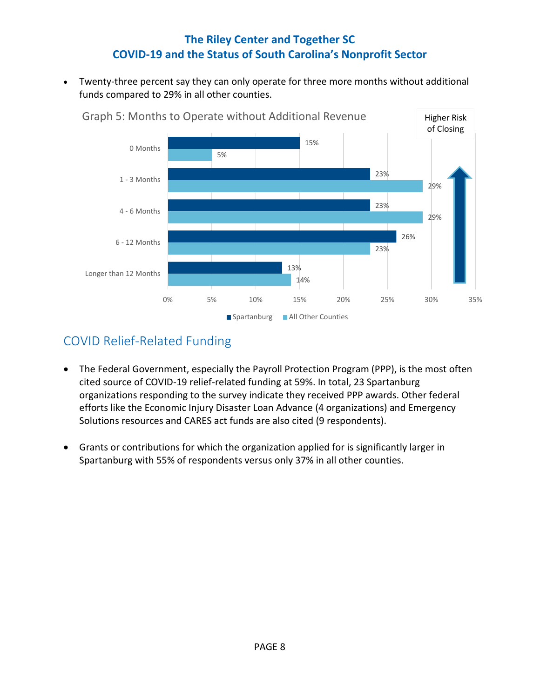Twenty-three percent say they can only operate for three more months without additional funds compared to 29% in all other counties.



## <span id="page-8-0"></span>COVID Relief-Related Funding

- The Federal Government, especially the Payroll Protection Program (PPP), is the most often cited source of COVID-19 relief-related funding at 59%. In total, 23 Spartanburg organizations responding to the survey indicate they received PPP awards. Other federal efforts like the Economic Injury Disaster Loan Advance (4 organizations) and Emergency Solutions resources and CARES act funds are also cited (9 respondents).
- Grants or contributions for which the organization applied for is significantly larger in Spartanburg with 55% of respondents versus only 37% in all other counties.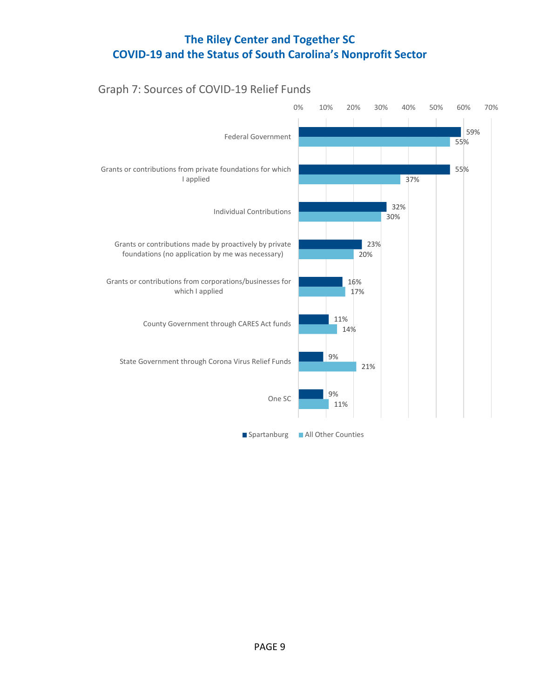### Graph 7: Sources of COVID-19 Relief Funds

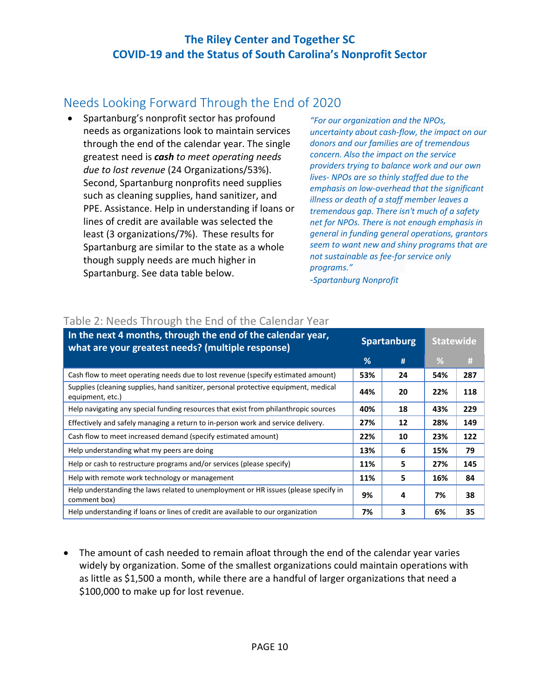## <span id="page-10-0"></span>Needs Looking Forward Through the End of 2020

• Spartanburg's nonprofit sector has profound needs as organizations look to maintain services through the end of the calendar year. The single greatest need is *cash to meet operating needs due to lost revenue* (24 Organizations/53%). Second, Spartanburg nonprofits need supplies such as cleaning supplies, hand sanitizer, and PPE. Assistance. Help in understanding if loans or lines of credit are available was selected the least (3 organizations/7%). These results for Spartanburg are similar to the state as a whole though supply needs are much higher in Spartanburg. See data table below.

*"For our organization and the NPOs, uncertainty about cash-flow, the impact on our donors and our families are of tremendous concern. Also the impact on the service providers trying to balance work and our own lives- NPOs are so thinly staffed due to the emphasis on low-overhead that the significant illness or death of a staff member leaves a tremendous gap. There isn't much of a safety net for NPOs. There is not enough emphasis in general in funding general operations, grantors seem to want new and shiny programs that are not sustainable as fee-for service only programs."*

-*Spartanburg Nonprofit*

| In the next 4 months, through the end of the calendar year,<br>what are your greatest needs? (multiple response) | <b>Spartanburg</b> |    | <b>Statewide</b> |     |
|------------------------------------------------------------------------------------------------------------------|--------------------|----|------------------|-----|
|                                                                                                                  | %                  | #  | %                | #   |
| Cash flow to meet operating needs due to lost revenue (specify estimated amount)                                 | 53%                | 24 | 54%              | 287 |
| Supplies (cleaning supplies, hand sanitizer, personal protective equipment, medical<br>equipment, etc.)          | 44%                | 20 | 22%              | 118 |
| Help navigating any special funding resources that exist from philanthropic sources                              | 40%                | 18 | 43%              | 229 |
| Effectively and safely managing a return to in-person work and service delivery.                                 | 27%                | 12 | 28%              | 149 |
| Cash flow to meet increased demand (specify estimated amount)                                                    | 22%                | 10 | 23%              | 122 |
| Help understanding what my peers are doing                                                                       | 13%                | 6  | 15%              | 79  |
| Help or cash to restructure programs and/or services (please specify)                                            | 11%                | 5  | 27%              | 145 |
| Help with remote work technology or management                                                                   | 11%                | 5  | 16%              | 84  |
| Help understanding the laws related to unemployment or HR issues (please specify in<br>comment box)              | 9%                 | 4  | 7%               | 38  |
| Help understanding if loans or lines of credit are available to our organization                                 | 7%                 | 3  | 6%               | 35  |

#### Table 2: Needs Through the End of the Calendar Year

• The amount of cash needed to remain afloat through the end of the calendar year varies widely by organization. Some of the smallest organizations could maintain operations with as little as \$1,500 a month, while there are a handful of larger organizations that need a \$100,000 to make up for lost revenue.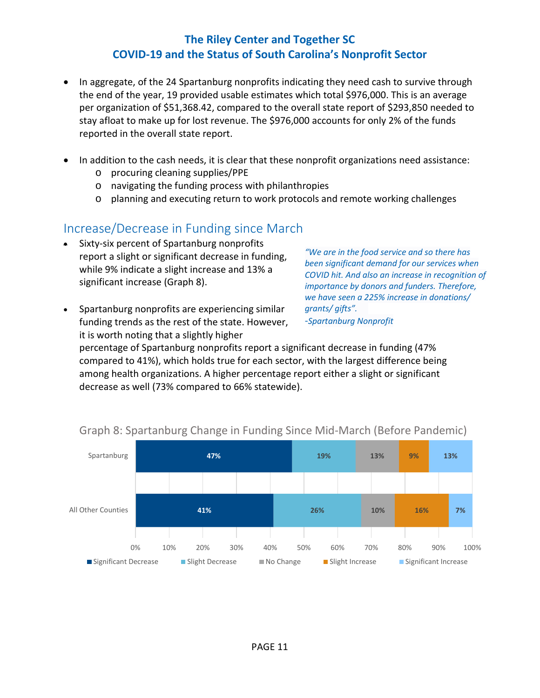- In aggregate, of the 24 Spartanburg nonprofits indicating they need cash to survive through the end of the year, 19 provided usable estimates which total \$976,000. This is an average per organization of \$51,368.42, compared to the overall state report of \$293,850 needed to stay afloat to make up for lost revenue. The \$976,000 accounts for only 2% of the funds reported in the overall state report.
- In addition to the cash needs, it is clear that these nonprofit organizations need assistance:
	- o procuring cleaning supplies/PPE
	- o navigating the funding process with philanthropies
	- o planning and executing return to work protocols and remote working challenges

### <span id="page-11-0"></span>Increase/Decrease in Funding since March

- Sixty-six percent of Spartanburg nonprofits report a slight or significant decrease in funding, while 9% indicate a slight increase and 13% a significant increase (Graph 8).
- Spartanburg nonprofits are experiencing similar funding trends as the rest of the state. However, it is worth noting that a slightly higher

*"We are in the food service and so there has been significant demand for our services when COVID hit. And also an increase in recognition of importance by donors and funders. Therefore, we have seen a 225% increase in donations/ grants/ gifts".*

-*Spartanburg Nonprofit*

percentage of Spartanburg nonprofits report a significant decrease in funding (47% compared to 41%), which holds true for each sector, with the largest difference being among health organizations. A higher percentage report either a slight or significant decrease as well (73% compared to 66% statewide).



### Graph 8: Spartanburg Change in Funding Since Mid-March (Before Pandemic)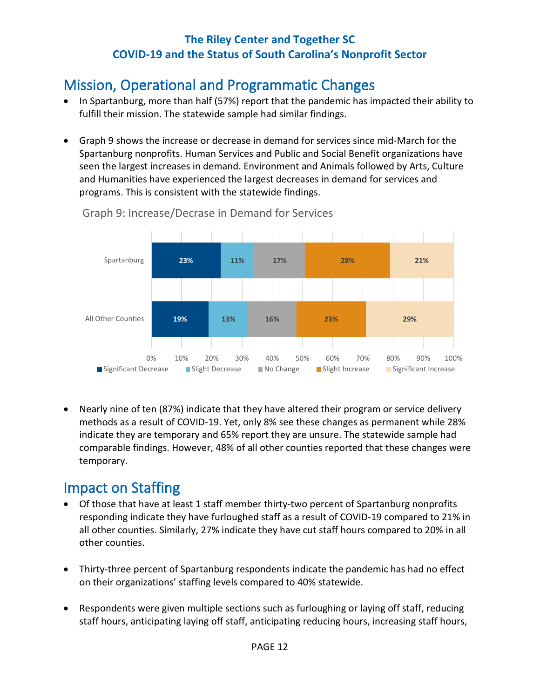# <span id="page-12-0"></span>Mission, Operational and Programmatic Changes

- In Spartanburg, more than half (57%) report that the pandemic has impacted their ability to fulfill their mission. The statewide sample had similar findings.
- Graph 9 shows the increase or decrease in demand for services since mid-March for the Spartanburg nonprofits. Human Services and Public and Social Benefit organizations have seen the largest increases in demand. Environment and Animals followed by Arts, Culture and Humanities have experienced the largest decreases in demand for services and programs. This is consistent with the statewide findings.



Graph 9: Increase/Decrase in Demand for Services

• Nearly nine of ten (87%) indicate that they have altered their program or service delivery methods as a result of COVID-19. Yet, only 8% see these changes as permanent while 28% indicate they are temporary and 65% report they are unsure. The statewide sample had comparable findings. However, 48% of all other counties reported that these changes were temporary.

# <span id="page-12-1"></span>Impact on Staffing

- Of those that have at least 1 staff member thirty-two percent of Spartanburg nonprofits responding indicate they have furloughed staff as a result of COVID-19 compared to 21% in all other counties. Similarly, 27% indicate they have cut staff hours compared to 20% in all other counties.
- Thirty-three percent of Spartanburg respondents indicate the pandemic has had no effect on their organizations' staffing levels compared to 40% statewide.
- Respondents were given multiple sections such as furloughing or laying off staff, reducing staff hours, anticipating laying off staff, anticipating reducing hours, increasing staff hours,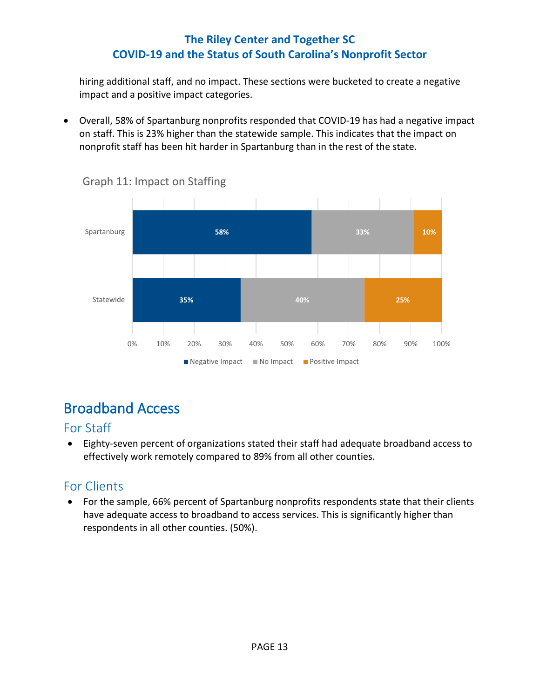hiring additional staff, and no impact. These sections were bucketed to create a negative impact and a positive impact categories.

• Overall, 58% of Spartanburg nonprofits responded that COVID-19 has had a negative impact on staff. This is 23% higher than the statewide sample. This indicates that the impact on nonprofit staff has been hit harder in Spartanburg than in the rest of the state.



Graph 11: Impact on Staffing

# <span id="page-13-0"></span>Broadband Access

### <span id="page-13-1"></span>For Staff

• Eighty-seven percent of organizations stated their staff had adequate broadband access to effectively work remotely compared to 89% from all other counties.

## <span id="page-13-2"></span>For Clients

• For the sample, 66% percent of Spartanburg nonprofits respondents state that their clients have adequate access to broadband to access services. This is significantly higher than respondents in all other counties. (50%).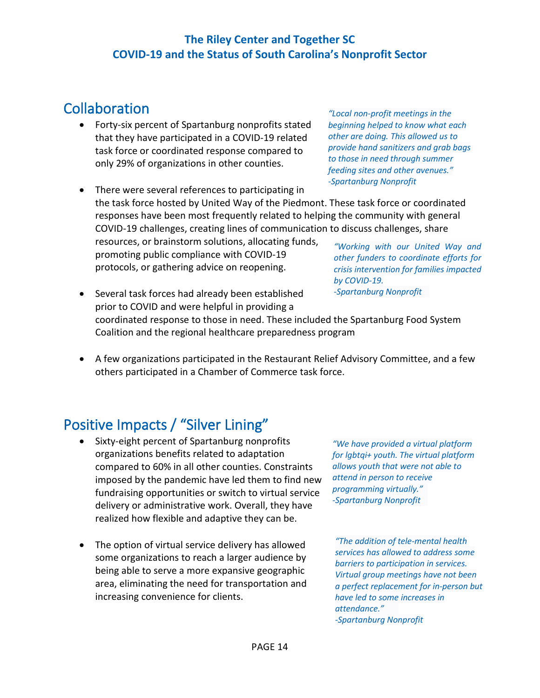## <span id="page-14-0"></span>**Collaboration**

• Forty-six percent of Spartanburg nonprofits stated that they have participated in a COVID-19 related task force or coordinated response compared to only 29% of organizations in other counties.

protocols, or gathering advice on reopening.

• There were several references to participating in the task force hosted by United Way of the Piedmont. These task force or coordinated responses have been most frequently related to helping the community with general COVID-19 challenges, creating lines of communication to discuss challenges, share resources, or brainstorm solutions, allocating funds, promoting public compliance with COVID-19 *"Working with our United Way and other funders to coordinate efforts for* 

• Several task forces had already been established prior to COVID and were helpful in providing a coordinated response to those in need. These included the Spartanburg Food System Coalition and the regional healthcare preparedness program *-Spartanburg Nonprofit*

• A few organizations participated in the Restaurant Relief Advisory Committee, and a few others participated in a Chamber of Commerce task force.

## <span id="page-14-1"></span>Positive Impacts / "Silver Lining"

• Sixty-eight percent of Spartanburg nonprofits organizations benefits related to adaptation compared to 60% in all other counties. Constraints imposed by the pandemic have led them to find new fundraising opportunities or switch to virtual service delivery or administrative work. Overall, they have realized how flexible and adaptive they can be.

• The option of virtual service delivery has allowed some organizations to reach a larger audience by being able to serve a more expansive geographic area, eliminating the need for transportation and increasing convenience for clients.

*"We have provided a virtual platform for lgbtqi+ youth. The virtual platform allows youth that were not able to attend in person to receive programming virtually." -Spartanburg Nonprofit*

*"The addition of tele-mental health services has allowed to address some barriers to participation in services. Virtual group meetings have not been a perfect replacement for in-person but have led to some increases in attendance." -Spartanburg Nonprofit*

PAGE 14

*"Local non-profit meetings in the beginning helped to know what each other are doing. This allowed us to provide hand sanitizers and grab bags to those in need through summer feeding sites and other avenues." -Spartanburg Nonprofit* 

*crisis intervention for families impacted* 

*by COVID-19.*